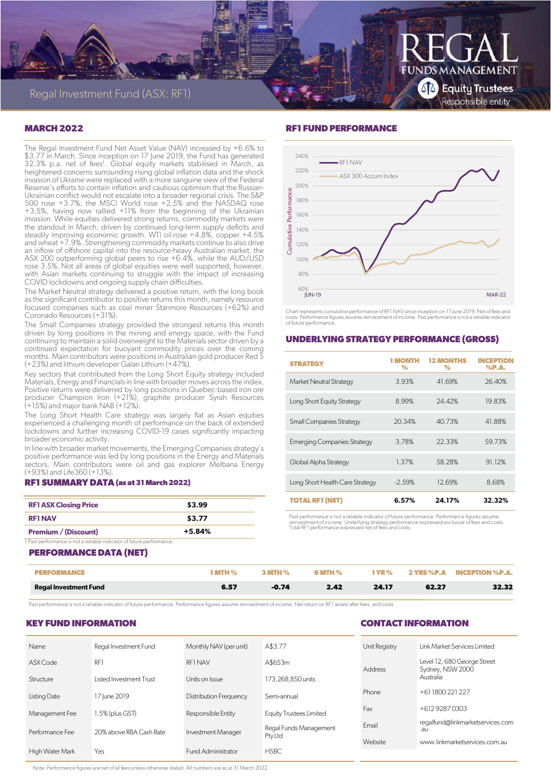

## **MARCH 2022**

The Regal Investment Fund Net Asset Value (NAV) increased by +6.6% to \$3.77 in March. Since inception on 17 June 2019, the Fund has generated 32.3% p.a. net of fees<sup>1</sup>. Global equity markets stabilised in March, as heightened concerns surrounding rising global inflation data and the shock invasion of Ukraine were replaced with a more sanguine view of the Federal Reserve's efforts to contain inflation and cautious optimism that the Russian-Ukrainian conflict would not escalate into a broader regional crisis. The S&P 500 rose +3.7%, the MSCI World rose +2.5% and the NASDAQ rose +3.5%, having now rallied +11% from the beginning of the Ukrainian invasion. While equities delivered strong returns, commodity markets were the standout in March, driven by continued long-term supply deficits and steadily improving economic growth. WTI oil rose +4.8%, copper +4.5% and wheat +7.9%. Strengthening commodity markets continue to also drive an inflow of offshore capital into the resource-heavy Australian market, the ASX 200 outperforming global peers to rise +6.4%, while the AUD/USD rose 3.5%. Not all areas of global equities were well supported, however, with Asian markets continuing to struggle with the impact of increasing COVID lockdowns and ongoing supply chain difficulties.

The Market Neutral strategy delivered a positive return, with the long book as the significant contributor to positive returns this month, namely resource focused companies such as coal miner Stanmore Resources (+62%) and Coronado Resources (+31%).

The Small Companies strategy provided the strongest returns this month driven by long positions in the mining and energy space, with the Fund continuing to maintain a solid overweight to the Materials sector driven by a continued expectation for buoyant commodity prices over the coming months. Main contributors were positions in Australian gold producer Red 5 (+23%) and lithium developer Galan Lithium (+47%).

Key sectors that contributed from the Long Short Equity strategy included Materials, Energy and Financials in line with broader moves across the index. Positive returns were delivered by long positions in Quebec-based iron ore producer Champion Iron (+21%), graphite producer Syrah Resources (+15%) and major bank NAB (+12%).

The Long Short Health Care strategy was largely flat as Asian equities experienced a challenging month of performance on the back of extended lockdowns and further increasing COVID-19 cases significantly impacting broader economic activity.

In line with broader market movements, the Emerging Companies strategy's positive performance was led by long positions in the Energy and Materials sectors. Main contributors were oil and gas explorer Melbana Energy (+93%) and Life360 (+13%).

#### **RF1 SUMMARY DATA (as at 31 March 2022)**

| <b>RF1 ASX Closing Price</b> | \$3.99   |
|------------------------------|----------|
| <b>RF1 NAV</b>               | \$3.77   |
| <b>Premium / (Discount)</b>  | $+5.84%$ |

1 Past performance is not a reliable indicator of future performance.

### **PERFORMANCE DATA (NET)**

| <b>Regal Investment Fund</b> | 6.57 | 0.74 | 9 A9 | 24.17      | 62.27 | 32.32                             |
|------------------------------|------|------|------|------------|-------|-----------------------------------|
| PERFORMANCE                  |      |      |      | <b>YR%</b> |       | <b>2 YRS %P.A INCEPTION %P.A.</b> |

Past performance is not a reliable indicator of future performance. Performance figures assume reinvestment of income. Net return on RF1 assets after fees, and costs.

## **KEY FUND INFORMATION**

## **RF1 FUND PERFORMANCE**



Chart represents cumulative performance of RF1 NAV since inception on 17 June 2019. Net of fees and costs. Performance figures assume reinvestment of income. Past performance is not a reliable indicator of future performance.

## **UNDERLYING STRATEGY PERFORMANCE (GROSS)**

| <b>STRATEGY</b>                    | 1 MONTH<br>℅ | <b>12 MONTHS</b><br>$\%$ | <b>INCEPTION</b><br>$%$ P.A. |
|------------------------------------|--------------|--------------------------|------------------------------|
| <b>Market Neutral Strategy</b>     | 3.93%        | 41.69%                   | 26.40%                       |
| Long Short Equity Strategy         | 8.99%        | 24.42%                   | 19.83%                       |
| <b>Small Companies Strategy</b>    | 20.34%       | 40.73%                   | 41.88%                       |
| <b>Emerging Companies Strategy</b> | 3.78%        | 22.33%                   | 59.73%                       |
| Global Alpha Strategy              | 1.37%        | 58.28%                   | 91.12%                       |
| Long Short Health Care Strategy    | $-2.59%$     | 12.69%                   | 8.68%                        |
| <b>TOTAL RF1 (NET)</b>             | 6.57%        | 24.17%                   | 32.32%                       |

Past performance is not a reliable indicator of future performance. Performance figures assume<br>reinvestment of income. Underlying strategy performance expressed exclusive of fees and costs.<br>Total RF1 performance expressed

## **CONTACT INFORMATION**

| Name            | Regal Investment Fund   | Monthly NAV (per unit)    | A\$3.77                 | Unit Registry | Link Market Services Limited                    |
|-----------------|-------------------------|---------------------------|-------------------------|---------------|-------------------------------------------------|
| ASX Code        | RF1                     | RF1 NAV                   | A\$653m                 | Address       | Level 12, 680 George Street<br>Sydney, NSW 2000 |
| Structure       | Listed Investment Trust | Units on Issue            | 173.268.850 units       |               | Australia                                       |
| Listing Date    | 17 June 2019            | Distribution Frequency    | Semi-annual             | Phone         | +611800221227                                   |
| Management Fee  | 1.5% (plus GST)         | Responsible Entity        | Equity Trustees Limited | Fax           | +61292870303                                    |
| Performance Fee | 20% above RBA Cash Rate | Investment Manager        | Regal Funds Management  | Email         | regalfund@linkmarketservices.com<br>.au         |
|                 |                         |                           | Pty Ltd                 | Website       | www.linkmarketservices.com.au                   |
| High Water Mark | Yes                     | <b>Fund Administrator</b> | <b>HSBC</b>             |               |                                                 |

Note: Performance figures are net of all fees unless otherwise stated. All numbers are as at 31 March 2022.